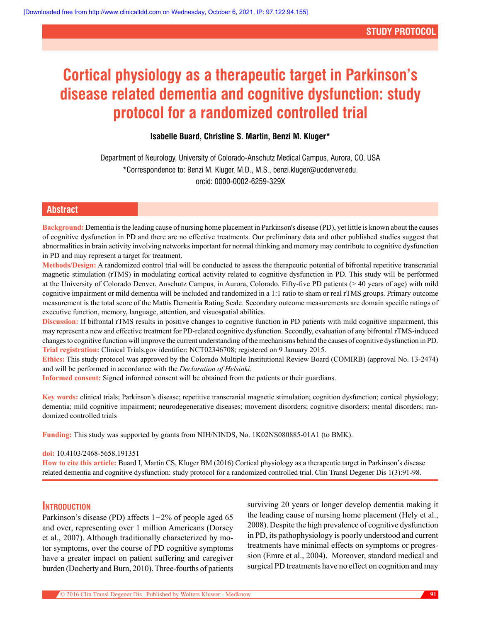# **Cortical physiology as a therapeutic target in Parkinson's disease related dementia and cognitive dysfunction: study protocol for a randomized controlled trial**

# **Isabelle Buard, Christine S. Martin, Benzi M. Kluger\***

Department of Neurology, University of Colorado-Anschutz Medical Campus, Aurora, CO, USA \*Correspondence to: Benzi M. Kluger, M.D., M.S., benzi.kluger@ucdenver.edu. orcid: [0000-0002-6259-329X](http://orcid.org/0000-0002-6259-329X) 

# **Abstract**

**Background:** Dementia is the leading cause of nursing home placement in Parkinson's disease (PD), yet little is known about the causes of cognitive dysfunction in PD and there are no effective treatments. Our preliminary data and other published studies suggest that abnormalities in brain activity involving networks important for normal thinking and memory may contribute to cognitive dysfunction in PD and may represent a target for treatment.

**Methods/Design:** A randomized control trial will be conducted to assess the therapeutic potential of bifrontal repetitive transcranial magnetic stimulation (rTMS) in modulating cortical activity related to cognitive dysfunction in PD. This study will be performed at the University of Colorado Denver, Anschutz Campus, in Aurora, Colorado. Fifty-five PD patients (> 40 years of age) with mild cognitive impairment or mild dementia will be included and randomized in a 1:1 ratio to sham or real rTMS groups. Primary outcome measurement is the total score of the Mattis Dementia Rating Scale. Secondary outcome measurements are domain specific ratings of executive function, memory, language, attention, and visuospatial abilities.

**Discussion:** If bifrontal rTMS results in positive changes to cognitive function in PD patients with mild cognitive impairment, this may represent a new and effective treatment for PD-related cognitive dysfunction. Secondly, evaluation of any bifrontal rTMS-induced changes to cognitive function will improve the current understanding of the mechanisms behind the causes of cognitive dysfunction in PD. **Trial registration:** Clinical Trials.gov identifier: NCT02346708; registered on 9 January 2015.

**Ethics:** This study protocol was approved by the Colorado Multiple Institutional Review Board (COMIRB) (approval No. 13-2474) and will be performed in accordance with the *Declaration of Helsinki*.

**Informed consent:** Signed informed consent will be obtained from the patients or their guardians.

**Key words:** clinical trials; Parkinson's disease; repetitive transcranial magnetic stimulation; cognition dysfunction; cortical physiology; dementia; mild cognitive impairment; neurodegenerative diseases; movement disorders; cognitive disorders; mental disorders; randomized controlled trials

**Funding:** This study was supported by grants from NIH/NINDS, No. 1K02NS080885-01A1 (to BMK).

## **doi:** 10.4103/2468-5658.191351

**How to cite this article:** Buard I, Martin CS, Kluger BM (2016) Cortical physiology as a therapeutic target in Parkinson's disease related dementia and cognitive dysfunction: study protocol for a randomized controlled trial. Clin Transl Degener Dis 1(3):91-98.

## **Introduction**

Parkinson's disease (PD) affects  $1-2\%$  of people aged 65 and over, representing over 1 million Americans (Dorsey et al., 2007). Although traditionally characterized by motor symptoms, over the course of PD cognitive symptoms have a greater impact on patient suffering and caregiver burden (Docherty and Burn, 2010). Three-fourths of patients surviving 20 years or longer develop dementia making it the leading cause of nursing home placement (Hely et al., 2008). Despite the high prevalence of cognitive dysfunction in PD, its pathophysiology is poorly understood and current treatments have minimal effects on symptoms or progression (Emre et al., 2004). Moreover, standard medical and surgical PD treatments have no effect on cognition and may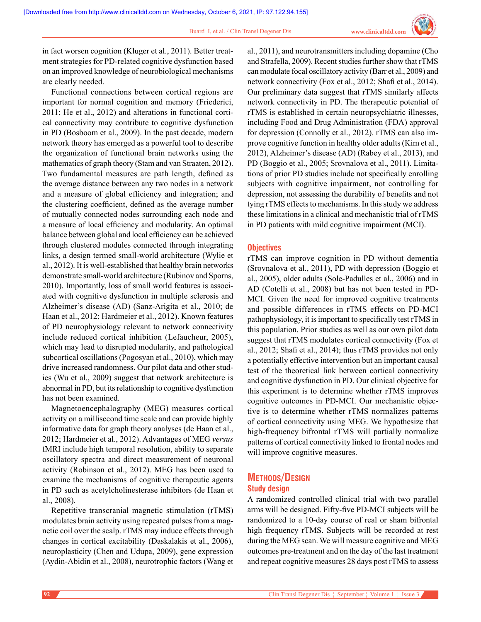

in fact worsen cognition (Kluger et al., 2011). Better treatment strategies for PD-related cognitive dysfunction based on an improved knowledge of neurobiological mechanisms are clearly needed.

Functional connections between cortical regions are important for normal cognition and memory (Friederici, 2011; He et al., 2012) and alterations in functional cortical connectivity may contribute to cognitive dysfunction in PD (Bosboom et al., 2009). In the past decade, modern network theory has emerged as a powerful tool to describe the organization of functional brain networks using the mathematics of graph theory (Stam and van Straaten, 2012). Two fundamental measures are path length, defined as the average distance between any two nodes in a network and a measure of global efficiency and integration; and the clustering coefficient, defined as the average number of mutually connected nodes surrounding each node and a measure of local efficiency and modularity. An optimal balance between global and local efficiency can be achieved through clustered modules connected through integrating links, a design termed small-world architecture (Wylie et al., 2012). It is well-established that healthy brain networks demonstrate small-world architecture (Rubinov and Sporns, 2010). Importantly, loss of small world features is associated with cognitive dysfunction in multiple sclerosis and Alzheimer's disease (AD) (Sanz-Arigita et al., 2010; de Haan et al., 2012; Hardmeier et al., 2012). Known features of PD neurophysiology relevant to network connectivity include reduced cortical inhibition (Lefaucheur, 2005), which may lead to disrupted modularity, and pathological subcortical oscillations (Pogosyan et al., 2010), which may drive increased randomness. Our pilot data and other studies (Wu et al., 2009) suggest that network architecture is abnormal in PD, but its relationship to cognitive dysfunction has not been examined.

Magnetoencephalography (MEG) measures cortical activity on a millisecond time scale and can provide highly informative data for graph theory analyses (de Haan et al., 2012; Hardmeier et al., 2012). Advantages of MEG *versus*  fMRI include high temporal resolution, ability to separate oscillatory spectra and direct measurement of neuronal activity (Robinson et al., 2012). MEG has been used to examine the mechanisms of cognitive therapeutic agents in PD such as acetylcholinesterase inhibitors (de Haan et al., 2008).

Repetitive transcranial magnetic stimulation (rTMS) modulates brain activity using repeated pulses from a magnetic coil over the scalp. rTMS may induce effects through changes in cortical excitability (Daskalakis et al., 2006), neuroplasticity (Chen and Udupa, 2009), gene expression (Aydin-Abidin et al., 2008), neurotrophic factors (Wang et al., 2011), and neurotransmitters including dopamine (Cho and Strafella, 2009). Recent studies further show that rTMS can modulate focal oscillatory activity (Barr et al., 2009) and network connectivity (Fox et al., 2012; Shafi et al., 2014). Our preliminary data suggest that rTMS similarly affects network connectivity in PD. The therapeutic potential of rTMS is established in certain neuropsychiatric illnesses, including Food and Drug Administration (FDA) approval for depression (Connolly et al., 2012). rTMS can also improve cognitive function in healthy older adults (Kim et al., 2012), Alzheimer's disease (AD) (Rabey et al., 2013), and PD (Boggio et al., 2005; Srovnalova et al., 2011). Limitations of prior PD studies include not specifically enrolling subjects with cognitive impairment, not controlling for depression, not assessing the durability of benefits and not tying rTMS effects to mechanisms. In this study we address these limitations in a clinical and mechanistic trial of rTMS in PD patients with mild cognitive impairment (MCI).

## **Objectives**

rTMS can improve cognition in PD without dementia (Srovnalova et al., 2011), PD with depression (Boggio et al., 2005), older adults (Sole-Padulles et al., 2006) and in AD (Cotelli et al., 2008) but has not been tested in PD-MCI. Given the need for improved cognitive treatments and possible differences in rTMS effects on PD-MCI pathophysiology, it is important to specifically test rTMS in this population. Prior studies as well as our own pilot data suggest that rTMS modulates cortical connectivity (Fox et al., 2012; Shafi et al., 2014); thus rTMS provides not only a potentially effective intervention but an important causal test of the theoretical link between cortical connectivity and cognitive dysfunction in PD. Our clinical objective for this experiment is to determine whether rTMS improves cognitive outcomes in PD-MCI. Our mechanistic objective is to determine whether rTMS normalizes patterns of cortical connectivity using MEG. We hypothesize that high-frequency bifrontal rTMS will partially normalize patterns of cortical connectivity linked to frontal nodes and will improve cognitive measures.

# **Methods/Design Study design**

A randomized controlled clinical trial with two parallel arms will be designed. Fifty-five PD-MCI subjects will be randomized to a 10-day course of real or sham bifrontal high frequency rTMS. Subjects will be recorded at rest during the MEG scan. We will measure cognitive and MEG outcomes pre-treatment and on the day of the last treatment and repeat cognitive measures 28 days post rTMS to assess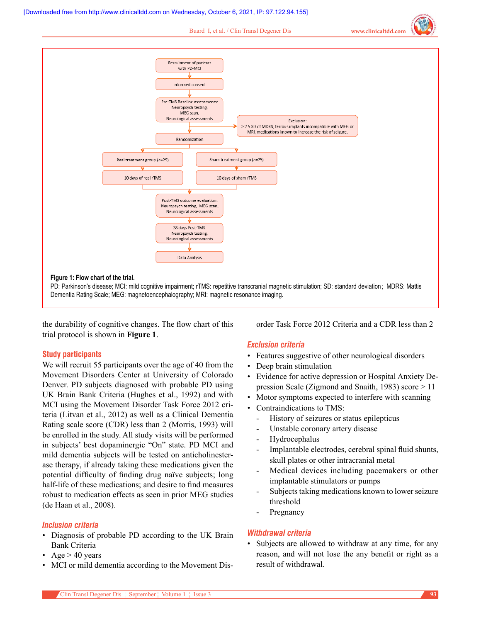Buard I, et al. / Clin Transl Degener Dis **www.clinicaltdd.com**



the durability of cognitive changes. The flow chart of this trial protocol is shown in **Figure 1**.

## **Study participants**

We will recruit 55 participants over the age of 40 from the Movement Disorders Center at University of Colorado Denver. PD subjects diagnosed with probable PD using UK Brain Bank Criteria (Hughes et al., 1992) and with MCI using the Movement Disorder Task Force 2012 criteria (Litvan et al., 2012) as well as a Clinical Dementia Rating scale score (CDR) less than 2 (Morris, 1993) will be enrolled in the study. All study visits will be performed in subjects' best dopaminergic "On" state. PD MCI and mild dementia subjects will be tested on anticholinesterase therapy, if already taking these medications given the potential difficulty of finding drug naïve subjects; long half-life of these medications; and desire to find measures robust to medication effects as seen in prior MEG studies (de Haan et al., 2008).

## *Inclusion criteria*

- Diagnosis of probable PD according to the UK Brain Bank Criteria
- $Age > 40$  years
- MCI or mild dementia according to the Movement Dis-

order Task Force 2012 Criteria and a CDR less than 2

# *Exclusion criteria*

- Features suggestive of other neurological disorders
- Deep brain stimulation
- Evidence for active depression or Hospital Anxiety Depression Scale (Zigmond and Snaith, 1983) score > 11
- Motor symptoms expected to interfere with scanning
- Contraindications to TMS:
	- History of seizures or status epilepticus
	- Unstable coronary artery disease
	- **Hydrocephalus**
	- Implantable electrodes, cerebral spinal fluid shunts, skull plates or other intracranial metal
	- Medical devices including pacemakers or other implantable stimulators or pumps
	- Subjects taking medications known to lower seizure threshold
	- Pregnancy

## *Withdrawal criteria*

• Subjects are allowed to withdraw at any time, for any reason, and will not lose the any benefit or right as a result of withdrawal.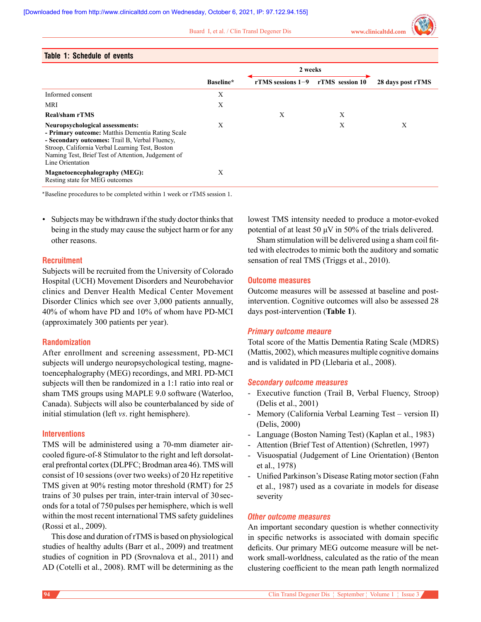Buard I, et al. / Clin Transl Degener Dis **www.clinicaltdd.com**

|  | <b>Table 1: Schedule of events</b> |  |
|--|------------------------------------|--|
|--|------------------------------------|--|

| IMMIY II YUNUMMIY VI YYVIILY                                                                                                                                                                                                                                       |           |                     |                 |                   |  |
|--------------------------------------------------------------------------------------------------------------------------------------------------------------------------------------------------------------------------------------------------------------------|-----------|---------------------|-----------------|-------------------|--|
|                                                                                                                                                                                                                                                                    |           | 2 weeks             |                 |                   |  |
|                                                                                                                                                                                                                                                                    | Baseline* | rTMS sessions $1-9$ | rTMS session 10 | 28 days post rTMS |  |
| Informed consent                                                                                                                                                                                                                                                   | X         |                     |                 |                   |  |
| MRI                                                                                                                                                                                                                                                                | X         |                     |                 |                   |  |
| Real/sham rTMS                                                                                                                                                                                                                                                     |           | X                   | X               |                   |  |
| Neuropsychological assessments:<br>- Primary outcome: Matthis Dementia Rating Scale<br>- Secondary outcomes: Trail B, Verbal Fluency,<br>Stroop, California Verbal Learning Test, Boston<br>Naming Test, Brief Test of Attention, Judgement of<br>Line Orientation | X         |                     | X               | Х                 |  |
| <b>Magnetoencephalography (MEG):</b><br>Resting state for MEG outcomes                                                                                                                                                                                             | X         |                     |                 |                   |  |

\*Baseline procedures to be completed within 1 week or rTMS session 1.

• Subjects may be withdrawn if the study doctor thinks that being in the study may cause the subject harm or for any other reasons.

## **Recruitment**

Subjects will be recruited from the University of Colorado Hospital (UCH) Movement Disorders and Neurobehavior clinics and Denver Health Medical Center Movement Disorder Clinics which see over 3,000 patients annually, 40% of whom have PD and 10% of whom have PD-MCI (approximately 300 patients per year).

## **Randomization**

After enrollment and screening assessment, PD-MCI subjects will undergo neuropsychological testing, magnetoencephalography (MEG) recordings, and MRI. PD-MCI subjects will then be randomized in a 1:1 ratio into real or sham TMS groups using MAPLE 9.0 software (Waterloo, Canada). Subjects will also be counterbalanced by side of initial stimulation (left *vs*. right hemisphere).

## **Interventions**

TMS will be administered using a 70-mm diameter aircooled figure-of-8 Stimulator to the right and left dorsolateral prefrontal cortex (DLPFC; Brodman area 46). TMS will consist of 10 sessions (over two weeks) of 20 Hz repetitive TMS given at 90% resting motor threshold (RMT) for 25 trains of 30 pulses per train, inter-train interval of 30 seconds for a total of 750 pulses per hemisphere, which is well within the most recent international TMS safety guidelines (Rossi et al., 2009).

This dose and duration of rTMS is based on physiological studies of healthy adults (Barr et al., 2009) and treatment studies of cognition in PD (Srovnalova et al., 2011) and AD (Cotelli et al., 2008). RMT will be determining as the

lowest TMS intensity needed to produce a motor-evoked potential of at least 50 μV in 50% of the trials delivered.

Sham stimulation will be delivered using a sham coil fitted with electrodes to mimic both the auditory and somatic sensation of real TMS (Triggs et al., 2010).

## **Outcome measures**

Outcome measures will be assessed at baseline and postintervention. Cognitive outcomes will also be assessed 28 days post-intervention (**Table 1**).

## *Primary outcome meaure*

Total score of the Mattis Dementia Rating Scale (MDRS) (Mattis, 2002), which measures multiple cognitive domains and is validated in PD (Llebaria et al., 2008).

#### *Secondary outcome measures*

- Executive function (Trail B, Verbal Fluency, Stroop) (Delis et al., 2001)
- Memory (California Verbal Learning Test version II) (Delis, 2000)
- Language (Boston Naming Test) (Kaplan et al., 1983)
- Attention (Brief Test of Attention) (Schretlen, 1997)
- Visuospatial (Judgement of Line Orientation) (Benton et al., 1978)
- Unified Parkinson's Disease Rating motor section (Fahn et al., 1987) used as a covariate in models for disease severity

## *Other outcome measures*

An important secondary question is whether connectivity in specific networks is associated with domain specific deficits. Our primary MEG outcome measure will be network small-worldness, calculated as the ratio of the mean clustering coefficient to the mean path length normalized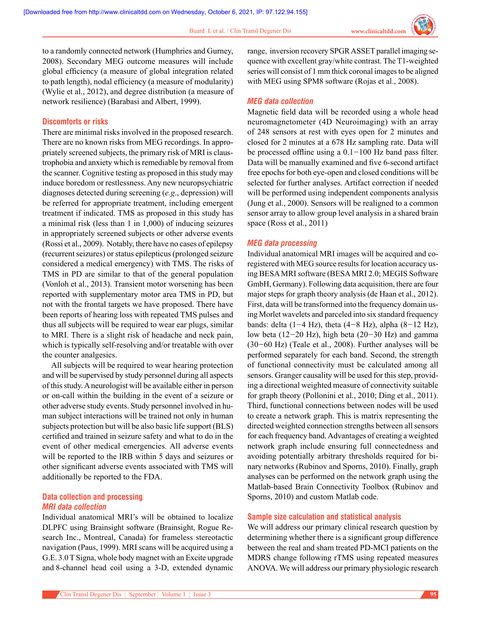to a randomly connected network (Humphries and Gurney, 2008). Secondary MEG outcome measures will include global efficiency (a measure of global integration related to path length), nodal efficiency (a measure of modularity) (Wylie et al., 2012), and degree distribution (a measure of network resilience) (Barabasi and Albert, 1999).

## **Discomforts or risks**

There are minimal risks involved in the proposed research. There are no known risks from MEG recordings. In appropriately screened subjects, the primary risk of MRI is claustrophobia and anxiety which is remediable by removal from the scanner. Cognitive testing as proposed in this study may induce boredom or restlessness. Any new neuropsychiatric diagnoses detected during screening (*e.g*., depression) will be referred for appropriate treatment, including emergent treatment if indicated. TMS as proposed in this study has a minimal risk (less than 1 in 1,000) of inducing seizures in appropriately screened subjects or other adverse events (Rossi et al., 2009). Notably, there have no cases of epilepsy (recurrent seizures) or status epilepticus (prolonged seizure considered a medical emergency) with TMS. The risks of TMS in PD are similar to that of the general population (Vonloh et al., 2013). Transient motor worsening has been reported with supplementary motor area TMS in PD, but not with the frontal targets we have proposed. There have been reports of hearing loss with repeated TMS pulses and thus all subjects will be required to wear ear plugs, similar to MRI. There is a slight risk of headache and neck pain, which is typically self-resolving and/or treatable with over the counter analgesics.

All subjects will be required to wear hearing protection and will be supervised by study personnel during all aspects of this study. A neurologist will be available either in person or on-call within the building in the event of a seizure or other adverse study events. Study personnel involved in human subject interactions will be trained not only in human subjects protection but will be also basic life support (BLS) certified and trained in seizure safety and what to do in the event of other medical emergencies. All adverse events will be reported to the IRB within 5 days and seizures or other significant adverse events associated with TMS will additionally be reported to the FDA.

# **Data collection and processing** *MRI data collection*

Individual anatomical MRI's will be obtained to localize DLPFC using Brainsight software (Brainsight, Rogue Research Inc., Montreal, Canada) for frameless stereotactic navigation (Paus, 1999). MRI scans will be acquired using a G.E. 3.0 T Signa, whole body magnet with an Excite upgrade and 8-channel head coil using a 3-D, extended dynamic

Clin Transl Degener Dis ¦ September ¦ Volume 1 ¦ Issue 3 **95**

range, inversion recovery SPGR ASSET parallel imaging sequence with excellent gray/white contrast. The T1-weighted series will consist of 1 mm thick coronal images to be aligned with MEG using SPM8 software (Rojas et al., 2008).

## *MEG data collection*

Magnetic field data will be recorded using a whole head neuromagnetometer (4D Neuroimaging) with an array of 248 sensors at rest with eyes open for 2 minutes and closed for 2 minutes at a 678 Hz sampling rate. Data will be processed offline using a  $0.1-100$  Hz band pass filter. Data will be manually examined and five 6-second artifact free epochs for both eye-open and closed conditions will be selected for further analyses. Artifact correction if needed will be performed using independent components analysis (Jung et al., 2000). Sensors will be realigned to a common sensor array to allow group level analysis in a shared brain space (Ross et al., 2011)

## *MEG data processing*

Individual anatomical MRI images will be acquired and coregistered with MEG source results for location accuracy using BESA MRI software (BESA MRI 2.0; MEGIS Software GmbH, Germany). Following data acquisition, there are four major steps for graph theory analysis (de Haan et al., 2012). First, data will be transformed into the frequency domain using Morlet wavelets and parceled into six standard frequency bands: delta (1-4 Hz), theta (4-8 Hz), alpha (8-12 Hz), low beta (12-20 Hz), high beta (20-30 Hz) and gamma (30-60 Hz) (Teale et al., 2008). Further analyses will be performed separately for each band. Second, the strength of functional connectivity must be calculated among all sensors. Granger causality will be used for this step, providing a directional weighted measure of connectivity suitable for graph theory (Pollonini et al., 2010; Ding et al., 2011). Third, functional connections between nodes will be used to create a network graph. This is matrix representing the directed weighted connection strengths between all sensors for each frequency band. Advantages of creating a weighted network graph include ensuring full connectedness and avoiding potentially arbitrary thresholds required for binary networks (Rubinov and Sporns, 2010). Finally, graph analyses can be performed on the network graph using the Matlab-based Brain Connectivity Toolbox (Rubinov and Sporns, 2010) and custom Matlab code.

## **Sample size calculation and statistical analysis**

We will address our primary clinical research question by determining whether there is a significant group difference between the real and sham treated PD-MCI patients on the MDRS change following rTMS using repeated measures ANOVA. We will address our primary physiologic research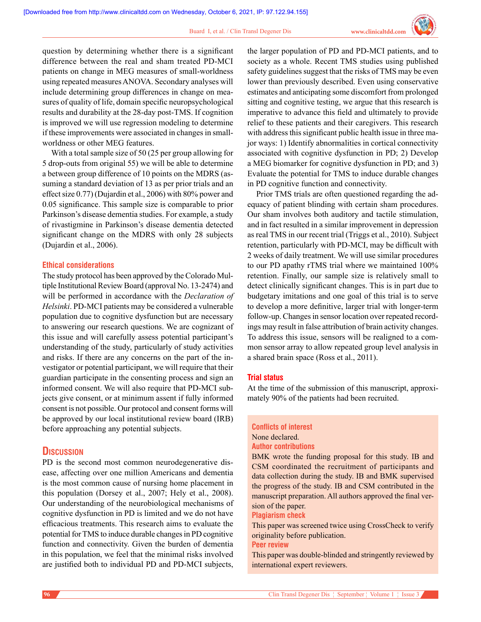question by determining whether there is a significant difference between the real and sham treated PD-MCI patients on change in MEG measures of small-worldness using repeated measures ANOVA. Secondary analyses will include determining group differences in change on measures of quality of life, domain specific neuropsychological results and durability at the 28-day post-TMS. If cognition is improved we will use regression modeling to determine if these improvements were associated in changes in smallworldness or other MEG features.

With a total sample size of 50 (25 per group allowing for 5 drop-outs from original 55) we will be able to determine a between group difference of 10 points on the MDRS (assuming a standard deviation of 13 as per prior trials and an effect size 0.77) (Dujardin et al., 2006) with 80% power and 0.05 significance. This sample size is comparable to prior Parkinson's disease dementia studies. For example, a study of rivastigmine in Parkinson's disease dementia detected significant change on the MDRS with only 28 subjects (Dujardin et al., 2006).

## **Ethical considerations**

The study protocol has been approved by the Colorado Multiple Institutional Review Board (approval No. 13-2474) and will be performed in accordance with the *Declaration of Helsinki*. PD-MCI patients may be considered a vulnerable population due to cognitive dysfunction but are necessary to answering our research questions. We are cognizant of this issue and will carefully assess potential participant's understanding of the study, particularly of study activities and risks. If there are any concerns on the part of the investigator or potential participant, we will require that their guardian participate in the consenting process and sign an informed consent. We will also require that PD-MCI subjects give consent, or at minimum assent if fully informed consent is not possible. Our protocol and consent forms will be approved by our local institutional review board (IRB) before approaching any potential subjects.

# **Discussion**

PD is the second most common neurodegenerative disease, affecting over one million Americans and dementia is the most common cause of nursing home placement in this population (Dorsey et al., 2007; Hely et al., 2008). Our understanding of the neurobiological mechanisms of cognitive dysfunction in PD is limited and we do not have efficacious treatments. This research aims to evaluate the potential for TMS to induce durable changes in PD cognitive function and connectivity. Given the burden of dementia in this population, we feel that the minimal risks involved are justified both to individual PD and PD-MCI subjects,

the larger population of PD and PD-MCI patients, and to society as a whole. Recent TMS studies using published safety guidelines suggest that the risks of TMS may be even lower than previously described. Even using conservative estimates and anticipating some discomfort from prolonged sitting and cognitive testing, we argue that this research is imperative to advance this field and ultimately to provide relief to these patients and their caregivers. This research with address this significant public health issue in three major ways: 1) Identify abnormalities in cortical connectivity associated with cognitive dysfunction in PD; 2) Develop a MEG biomarker for cognitive dysfunction in PD; and 3) Evaluate the potential for TMS to induce durable changes in PD cognitive function and connectivity.

Prior TMS trials are often questioned regarding the adequacy of patient blinding with certain sham procedures. Our sham involves both auditory and tactile stimulation, and in fact resulted in a similar improvement in depression as real TMS in our recent trial (Triggs et al., 2010). Subject retention, particularly with PD-MCI, may be difficult with 2 weeks of daily treatment. We will use similar procedures to our PD apathy rTMS trial where we maintained 100% retention. Finally, our sample size is relatively small to detect clinically significant changes. This is in part due to budgetary imitations and one goal of this trial is to serve to develop a more definitive, larger trial with longer-term follow-up. Changes in sensor location over repeated recordings may result in false attribution of brain activity changes. To address this issue, sensors will be realigned to a common sensor array to allow repeated group level analysis in a shared brain space (Ross et al., 2011).

## **Trial status**

At the time of the submission of this manuscript, approximately 90% of the patients had been recruited.

# **Conflicts of interest** None declared. **Author contributions**

BMK wrote the funding proposal for this study. IB and CSM coordinated the recruitment of participants and data collection during the study. IB and BMK supervised the progress of the study. IB and CSM contributed in the manuscript preparation. All authors approved the final version of the paper.

#### **Plagiarism check**

This paper was screened twice using CrossCheck to verify originality before publication.

#### **Peer review**

This paper was double-blinded and stringently reviewed by international expert reviewers.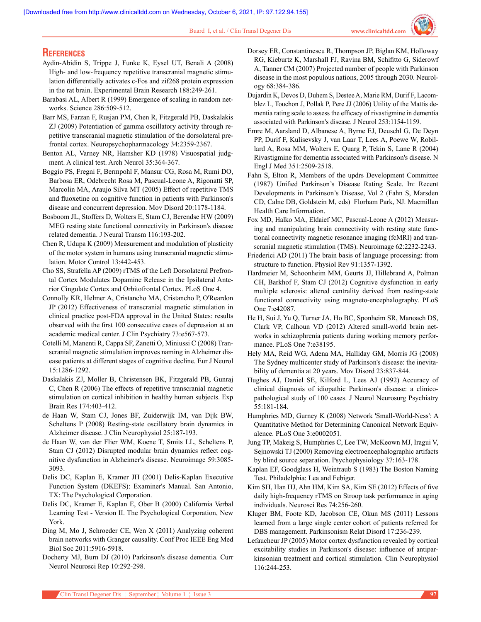# **References**

- Aydin-Abidin S, Trippe J, Funke K, Eysel UT, Benali A (2008) High- and low-frequency repetitive transcranial magnetic stimulation differentially activates c-Fos and zif268 protein expression in the rat brain. Experimental Brain Research 188:249-261.
- Barabasi AL, Albert R (1999) Emergence of scaling in random networks. Science 286:509-512.
- Barr MS, Farzan F, Rusjan PM, Chen R, Fitzgerald PB, Daskalakis ZJ (2009) Potentiation of gamma oscillatory activity through repetitive transcranial magnetic stimulation of the dorsolateral prefrontal cortex. Neuropsychopharmacology 34:2359-2367.
- Benton AL, Varney NR, Hamsher KD (1978) Visuospatial judgment. A clinical test. Arch Neurol 35:364-367.
- Boggio PS, Fregni F, Bermpohl F, Mansur CG, Rosa M, Rumi DO, Barbosa ER, Odebrecht Rosa M, Pascual-Leone A, Rigonatti SP, Marcolin MA, Araujo Silva MT (2005) Effect of repetitive TMS and fluoxetine on cognitive function in patients with Parkinson's disease and concurrent depression. Mov Disord 20:1178-1184.
- Bosboom JL, Stoffers D, Wolters E, Stam CJ, Berendse HW (2009) MEG resting state functional connectivity in Parkinson's disease related dementia. J Neural Transm 116:193-202.
- Chen R, Udupa K (2009) Measurement and modulation of plasticity of the motor system in humans using transcranial magnetic stimulation. Motor Control 13:442-453.
- Cho SS, Strafella AP (2009) rTMS of the Left Dorsolateral Prefrontal Cortex Modulates Dopamine Release in the Ipsilateral Anterior Cingulate Cortex and Orbitofrontal Cortex. PLoS One 4.
- Connolly KR, Helmer A, Cristancho MA, Cristancho P, O'Reardon JP (2012) Effectiveness of transcranial magnetic stimulation in clinical practice post-FDA approval in the United States: results observed with the first 100 consecutive cases of depression at an academic medical center. J Clin Psychiatry 73:e567-573.
- Cotelli M, Manenti R, Cappa SF, Zanetti O, Miniussi C (2008) Transcranial magnetic stimulation improves naming in Alzheimer disease patients at different stages of cognitive decline. Eur J Neurol 15:1286-1292.
- Daskalakis ZJ, Moller B, Christensen BK, Fitzgerald PB, Gunraj C, Chen R (2006) The effects of repetitive transcranial magnetic stimulation on cortical inhibition in healthy human subjects. Exp Brain Res 174:403-412.
- de Haan W, Stam CJ, Jones BF, Zuiderwijk IM, van Dijk BW, Scheltens P (2008) Resting-state oscillatory brain dynamics in Alzheimer disease. J Clin Neurophysiol 25:187-193.
- de Haan W, van der Flier WM, Koene T, Smits LL, Scheltens P, Stam CJ (2012) Disrupted modular brain dynamics reflect cognitive dysfunction in Alzheimer's disease. Neuroimage 59:3085- 3093.
- Delis DC, Kaplan E, Kramer JH (2001) Delis-Kaplan Executive Function System (DKEFS): Examiner's Manual. San Antonio, TX: The Psychological Corporation.
- Delis DC, Kramer E, Kaplan E, Ober B (2000) California Verbal Learning Test - Version II. The Psychological Corporation, New York.
- Ding M, Mo J, Schroeder CE, Wen X (2011) Analyzing coherent brain networks with Granger causality. Conf Proc IEEE Eng Med Biol Soc 2011:5916-5918.
- Docherty MJ, Burn DJ (2010) Parkinson's disease dementia. Curr Neurol Neurosci Rep 10:292-298.
- Dorsey ER, Constantinescu R, Thompson JP, Biglan KM, Holloway RG, Kieburtz K, Marshall FJ, Ravina BM, Schifitto G, Siderowf A, Tanner CM (2007) Projected number of people with Parkinson disease in the most populous nations, 2005 through 2030. Neurology 68:384-386.
- Dujardin K, Devos D, Duhem S, Destee A, Marie RM, Durif F, Lacomblez L, Touchon J, Pollak P, Pere JJ (2006) Utility of the Mattis dementia rating scale to assess the efficacy of rivastigmine in dementia associated with Parkinson's disease. J Neurol 253:1154-1159.
- Emre M, Aarsland D, Albanese A, Byrne EJ, Deuschl G, De Deyn PP, Durif F, Kulisevsky J, van Laar T, Lees A, Poewe W, Robillard A, Rosa MM, Wolters E, Quarg P, Tekin S, Lane R (2004) Rivastigmine for dementia associated with Parkinson's disease. N Engl J Med 351:2509-2518.
- Fahn S, Elton R, Members of the updrs Development Committee (1987) Unified Parkinson's Disease Rating Scale. In: Recent Developments in Parkinson's Disease, Vol 2 (Fahn S, Marsden CD, Calne DB, Goldstein M, eds) Florham Park, NJ. Macmillan Health Care Information.
- Fox MD, Halko MA, Eldaief MC, Pascual-Leone A (2012) Measuring and manipulating brain connectivity with resting state functional connectivity magnetic resonance imaging (fcMRI) and transcranial magnetic stimulation (TMS). Neuroimage 62:2232-2243.
- Friederici AD (2011) The brain basis of language processing: from structure to function. Physiol Rev 91:1357-1392.
- Hardmeier M, Schoonheim MM, Geurts JJ, Hillebrand A, Polman CH, Barkhof F, Stam CJ (2012) Cognitive dysfunction in early multiple sclerosis: altered centrality derived from resting-state functional connectivity using magneto-encephalography. PLoS One 7:e42087.
- He H, Sui J, Yu Q, Turner JA, Ho BC, Sponheim SR, Manoach DS, Clark VP, Calhoun VD (2012) Altered small-world brain networks in schizophrenia patients during working memory performance. PLoS One 7:e38195.
- Hely MA, Reid WG, Adena MA, Halliday GM, Morris JG (2008) The Sydney multicenter study of Parkinson's disease: the inevitability of dementia at 20 years. Mov Disord 23:837-844.
- Hughes AJ, Daniel SE, Kilford L, Lees AJ (1992) Accuracy of clinical diagnosis of idiopathic Parkinson's disease: a clinicopathological study of 100 cases. J Neurol Neurosurg Psychiatry 55:181-184.
- Humphries MD, Gurney K (2008) Network 'Small-World-Ness': A Quantitative Method for Determining Canonical Network Equivalence. PLoS One 3:e0002051.
- Jung TP, Makeig S, Humphries C, Lee TW, McKeown MJ, Iragui V, Sejnowski TJ (2000) Removing electroencephalographic artifacts by blind source separation. Psychophysiology 37:163-178.
- Kaplan EF, Goodglass H, Weintraub S (1983) The Boston Naming Test. Philadelphia: Lea and Febiger.
- Kim SH, Han HJ, Ahn HM, Kim SA, Kim SE (2012) Effects of five daily high-frequency rTMS on Stroop task performance in aging individuals. Neurosci Res 74:256-260.
- Kluger BM, Foote KD, Jacobson CE, Okun MS (2011) Lessons learned from a large single center cohort of patients referred for DBS management. Parkinsonism Relat Disord 17:236-239.
- Lefaucheur JP (2005) Motor cortex dysfunction revealed by cortical excitability studies in Parkinson's disease: influence of antiparkinsonian treatment and cortical stimulation. Clin Neurophysiol 116:244-253.